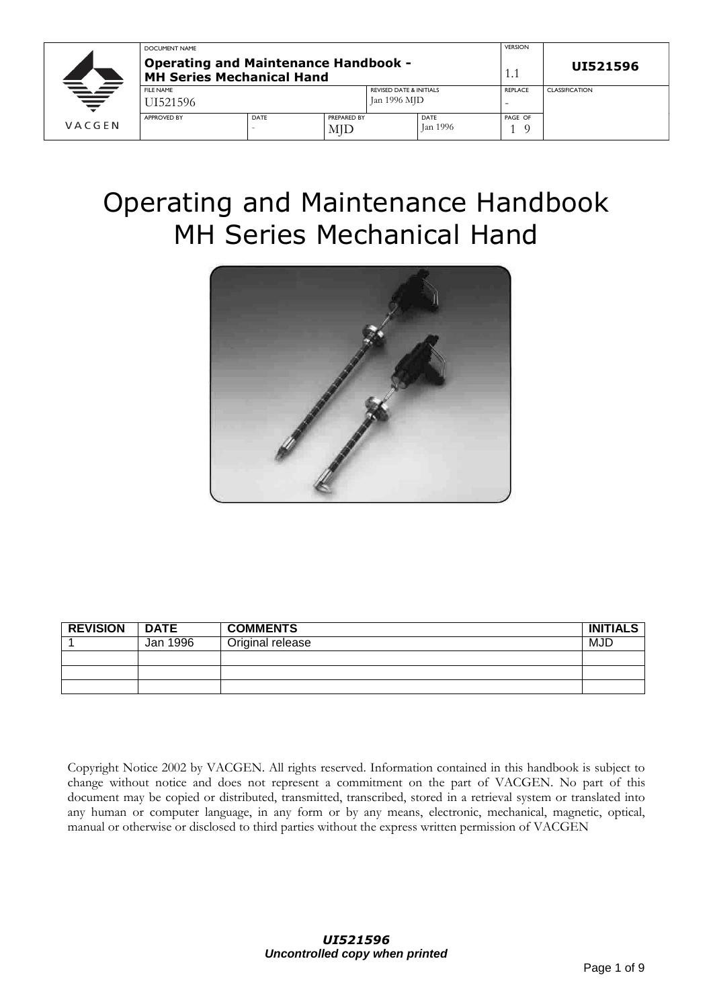|          | DOCUMENT NAME                                                                   |                     |     |                                    |          | <b>VERSION</b> |                       |
|----------|---------------------------------------------------------------------------------|---------------------|-----|------------------------------------|----------|----------------|-----------------------|
|          | <b>Operating and Maintenance Handbook -</b><br><b>MH Series Mechanical Hand</b> |                     |     |                                    |          |                | UI521596              |
|          | <b>FILE NAME</b>                                                                |                     |     | <b>REVISED DATE &amp; INITIALS</b> |          | <b>REPLACE</b> | <b>CLASSIFICATION</b> |
| $\equiv$ | UI521596                                                                        |                     |     | Jan 1996 MJD                       |          | -              |                       |
|          | <b>APPROVED BY</b>                                                              | DATE<br>PREPARED BY |     |                                    | DATE     | PAGE OF        |                       |
| VACGEN   |                                                                                 |                     | MJD |                                    | Jan 1996 |                |                       |

# Operating and Maintenance Handbook MH Series Mechanical Hand



| <b>REVISION</b> | <b>DATE</b> | <b>COMMENTS</b>  | <b>INITIALS</b> |
|-----------------|-------------|------------------|-----------------|
|                 | Jan 1996    | Original release | MJD             |
|                 |             |                  |                 |
|                 |             |                  |                 |
|                 |             |                  |                 |

Copyright Notice 2002 by VACGEN. All rights reserved. Information contained in this handbook is subject to change without notice and does not represent a commitment on the part of VACGEN. No part of this document may be copied or distributed, transmitted, transcribed, stored in a retrieval system or translated into any human or computer language, in any form or by any means, electronic, mechanical, magnetic, optical, manual or otherwise or disclosed to third parties without the express written permission of VACGEN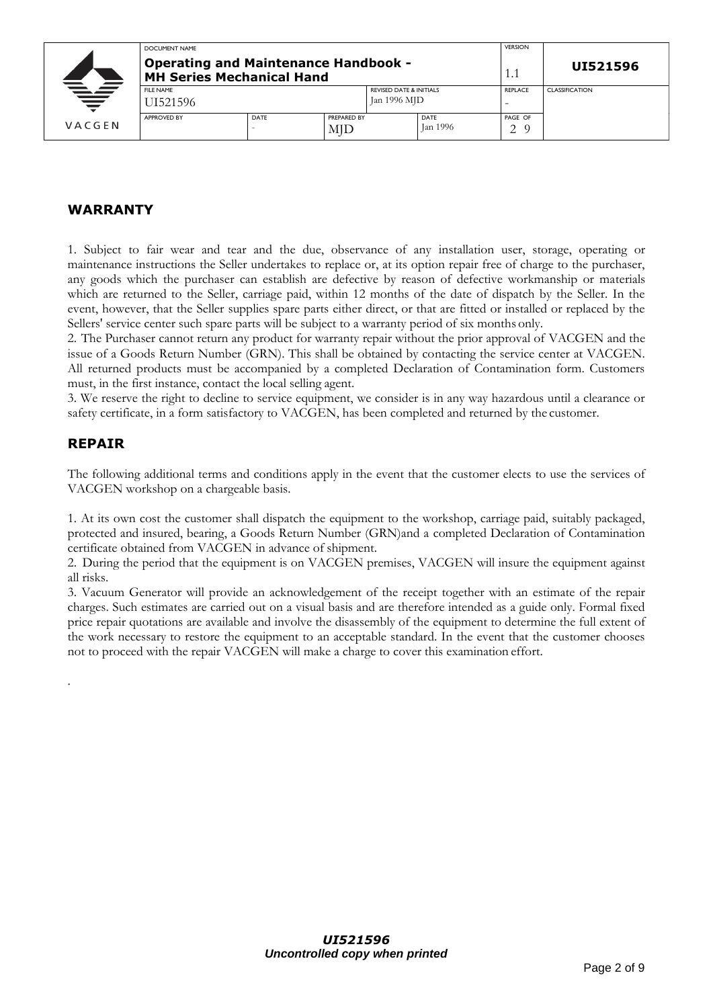|        | DOCUMENT NAME                                                            |      |                    |                                                    |                         | <b>VERSION</b>      |                       |
|--------|--------------------------------------------------------------------------|------|--------------------|----------------------------------------------------|-------------------------|---------------------|-----------------------|
|        | <b>Operating and Maintenance Handbook -</b><br>MH Series Mechanical Hand | 1.1  | UI521596           |                                                    |                         |                     |                       |
| ₩      | <b>FILE NAME</b><br>UI521596-                                            |      |                    | <b>REVISED DATE &amp; INITIALS</b><br>Jan 1996 MJD |                         | <b>REPLACE</b><br>- | <b>CLASSIFICATION</b> |
| VACGEN | <b>APPROVED BY</b>                                                       | DATE | PREPARED BY<br>MJD |                                                    | <b>DATE</b><br>Jan 1996 | PAGE OF<br>$\Omega$ |                       |

## **WARRANTY**

1. Subject to fair wear and tear and the due, observance of any installation user, storage, operating or maintenance instructions the Seller undertakes to replace or, at its option repair free of charge to the purchaser, any goods which the purchaser can establish are defective by reason of defective workmanship or materials which are returned to the Seller, carriage paid, within 12 months of the date of dispatch by the Seller. In the event, however, that the Seller supplies spare parts either direct, or that are fitted or installed or replaced by the Sellers' service center such spare parts will be subject to a warranty period of six months only.

2. The Purchaser cannot return any product for warranty repair without the prior approval of VACGEN and the issue of a Goods Return Number (GRN). This shall be obtained by contacting the service center at VACGEN. All returned products must be accompanied by a completed Declaration of Contamination form. Customers must, in the first instance, contact the local selling agent.

3. We reserve the right to decline to service equipment, we consider is in any way hazardous until a clearance or safety certificate, in a form satisfactory to VACGEN, has been completed and returned by the customer.

#### **REPAIR**

.

The following additional terms and conditions apply in the event that the customer elects to use the services of VACGEN workshop on a chargeable basis.

1. At its own cost the customer shall dispatch the equipment to the workshop, carriage paid, suitably packaged, protected and insured, bearing, a Goods Return Number (GRN)and a completed Declaration of Contamination certificate obtained from VACGEN in advance of shipment.

2. During the period that the equipment is on VACGEN premises, VACGEN will insure the equipment against all risks.

3. Vacuum Generator will provide an acknowledgement of the receipt together with an estimate of the repair charges. Such estimates are carried out on a visual basis and are therefore intended as a guide only. Formal fixed price repair quotations are available and involve the disassembly of the equipment to determine the full extent of the work necessary to restore the equipment to an acceptable standard. In the event that the customer chooses not to proceed with the repair VACGEN will make a charge to cover this examination effort.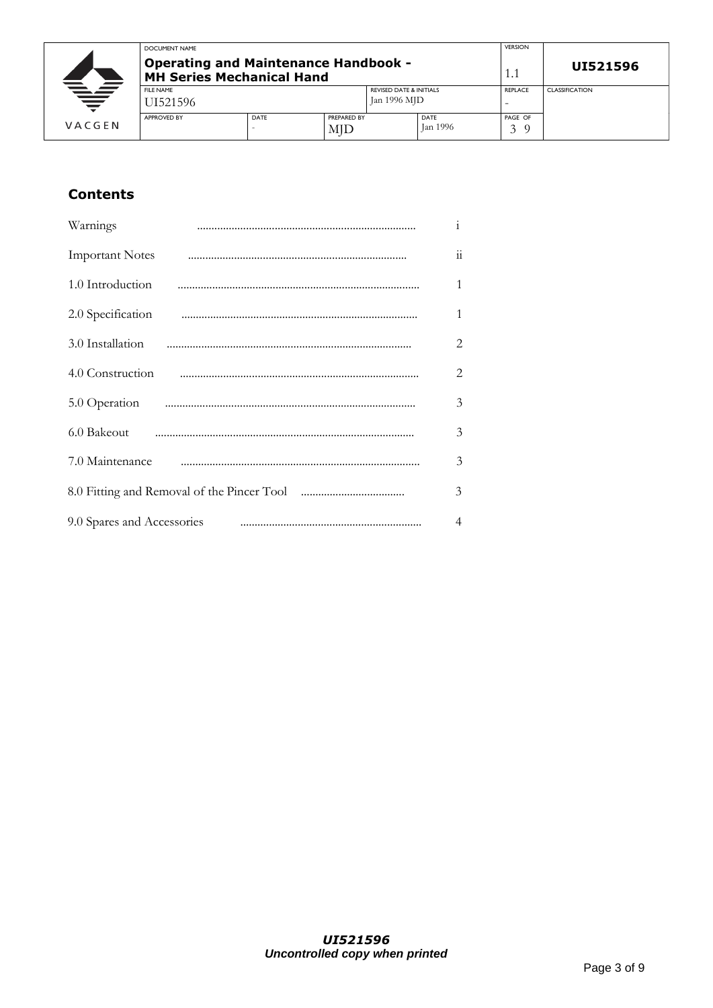|        | DOCUMENT NAME                                                                   |      |                    |                                    |                  | <b>VERSION</b>    |                       |
|--------|---------------------------------------------------------------------------------|------|--------------------|------------------------------------|------------------|-------------------|-----------------------|
|        | <b>Operating and Maintenance Handbook -</b><br><b>MH Series Mechanical Hand</b> |      |                    |                                    |                  |                   | UI521596              |
|        | <b>FILE NAME</b>                                                                |      |                    | <b>REVISED DATE &amp; INITIALS</b> |                  | REPLACE           | <b>CLASSIFICATION</b> |
| ₩      | JI521596                                                                        |      | Jan 1996 MJD       |                                    |                  |                   |                       |
| VACGEN | <b>APPROVED BY</b>                                                              | DATE | PREPARED BY<br>MJD |                                    | DATE<br>Jan 1996 | PAGE OF<br>$\sim$ |                       |

# **Contents**

| Warnings                   | $\mathbf{i}$        |
|----------------------------|---------------------|
| <b>Important Notes</b>     | $\ddot{\mathbf{i}}$ |
| 1.0 Introduction           | 1                   |
|                            | 1                   |
|                            | $\overline{2}$      |
| 4.0 Construction           | $\overline{2}$      |
|                            | 3                   |
|                            | 3                   |
| 7.0 Maintenance            | 3                   |
|                            | 3                   |
| 9.0 Spares and Accessories | $\overline{4}$      |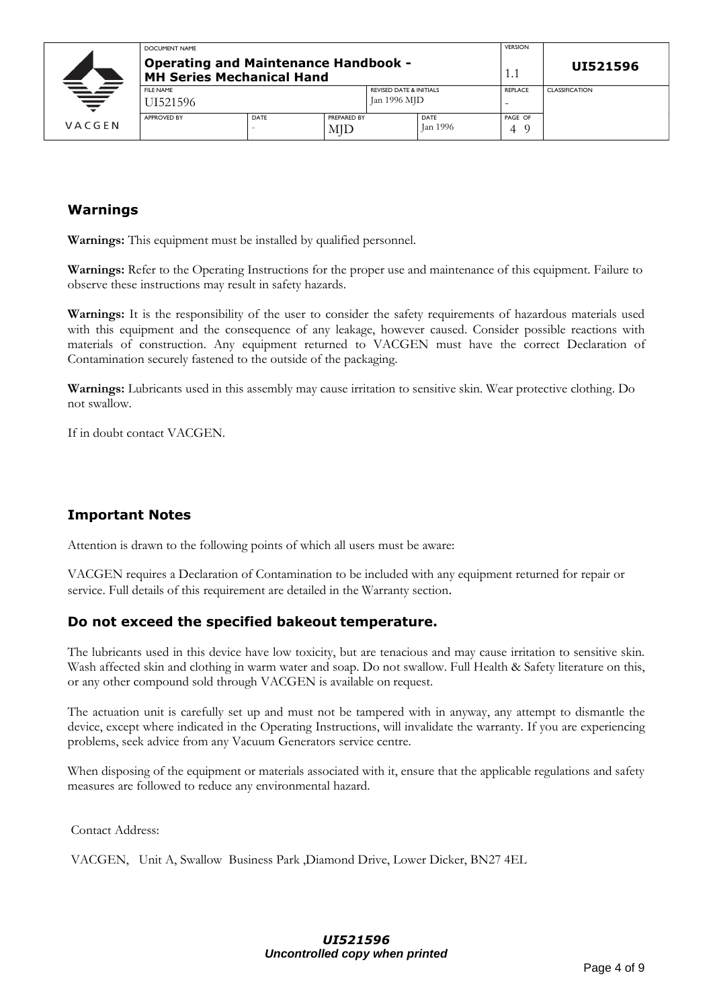|          | DOCUMENT NAME                                                                   |      |                    |                                                    |                  | <b>VERSION</b> |                       |
|----------|---------------------------------------------------------------------------------|------|--------------------|----------------------------------------------------|------------------|----------------|-----------------------|
|          | <b>Operating and Maintenance Handbook -</b><br><b>MH Series Mechanical Hand</b> | 1.1  | UI521596           |                                                    |                  |                |                       |
| $\equiv$ | <b>FILE NAME</b><br>UI521596-                                                   |      |                    | <b>REVISED DATE &amp; INITIALS</b><br>Jan 1996 MJD |                  | <b>REPLACE</b> | <b>CLASSIFICATION</b> |
| VACGEN   | <b>APPROVED BY</b>                                                              | DATE | PREPARED BY<br>MJD |                                                    | DATE<br>Jan 1996 | PAGE OF<br>Δ   |                       |

## **Warnings**

**Warnings:** This equipment must be installed by qualified personnel.

**Warnings:** Refer to the Operating Instructions for the proper use and maintenance of this equipment. Failure to observe these instructions may result in safety hazards.

**Warnings:** It is the responsibility of the user to consider the safety requirements of hazardous materials used with this equipment and the consequence of any leakage, however caused. Consider possible reactions with materials of construction. Any equipment returned to VACGEN must have the correct Declaration of Contamination securely fastened to the outside of the packaging.

**Warnings:** Lubricants used in this assembly may cause irritation to sensitive skin. Wear protective clothing. Do not swallow.

If in doubt contact VACGEN.

#### **Important Notes**

Attention is drawn to the following points of which all users must be aware:

VACGEN requires a Declaration of Contamination to be included with any equipment returned for repair or service. Full details of this requirement are detailed in the Warranty section.

#### **Do not exceed the specified bakeout temperature.**

The lubricants used in this device have low toxicity, but are tenacious and may cause irritation to sensitive skin. Wash affected skin and clothing in warm water and soap. Do not swallow. Full Health & Safety literature on this, or any other compound sold through VACGEN is available on request.

The actuation unit is carefully set up and must not be tampered with in anyway, any attempt to dismantle the device, except where indicated in the Operating Instructions, will invalidate the warranty. If you are experiencing problems, seek advice from any Vacuum Generators service centre.

When disposing of the equipment or materials associated with it, ensure that the applicable regulations and safety measures are followed to reduce any environmental hazard.

Contact Address:

VACGEN, Unit A, Swallow Business Park ,Diamond Drive, Lower Dicker, BN27 4EL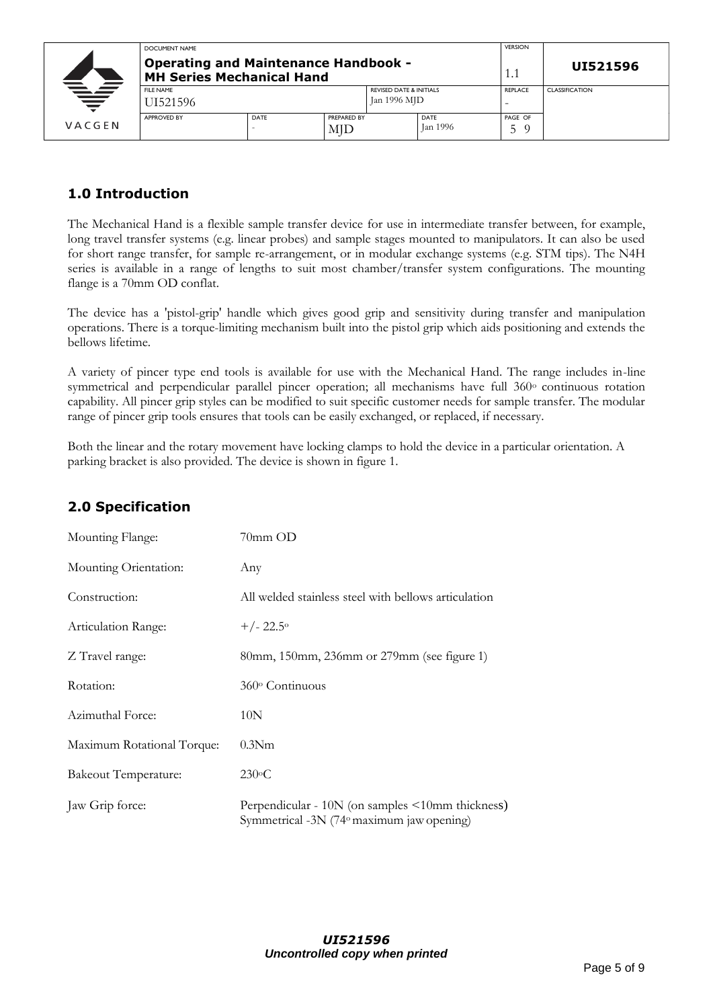|        | DOCUMENT NAME                                                            |             |                                                    |  |                | <b>VERSION</b>        |  |
|--------|--------------------------------------------------------------------------|-------------|----------------------------------------------------|--|----------------|-----------------------|--|
|        | <b>Operating and Maintenance Handbook -</b><br>MH Series Mechanical Hand | 1.1         | UI521596                                           |  |                |                       |  |
| ₩      | <b>FILE NAME</b>                                                         |             | <b>REVISED DATE &amp; INITIALS</b><br>Jan 1996 MJD |  | <b>REPLACE</b> | <b>CLASSIFICATION</b> |  |
|        | UI521596                                                                 |             |                                                    |  |                | -                     |  |
|        | APPROVED BY                                                              | <b>DATE</b> | PREPARED BY                                        |  | DATE           | PAGE OF               |  |
| VACGEN |                                                                          |             | MJD                                                |  | Jan 1996       | ∽                     |  |

# **1.0 Introduction**

The Mechanical Hand is a flexible sample transfer device for use in intermediate transfer between, for example, long travel transfer systems (e.g. linear probes) and sample stages mounted to manipulators. It can also be used for short range transfer, for sample re-arrangement, or in modular exchange systems (e.g. STM tips). The N4H series is available in a range of lengths to suit most chamber/transfer system configurations. The mounting flange is a 70mm OD conflat.

The device has a 'pistol-grip' handle which gives good grip and sensitivity during transfer and manipulation operations. There is a torque-limiting mechanism built into the pistol grip which aids positioning and extends the bellows lifetime.

A variety of pincer type end tools is available for use with the Mechanical Hand. The range includes in-line symmetrical and perpendicular parallel pincer operation; all mechanisms have full 360° continuous rotation capability. All pincer grip styles can be modified to suit specific customer needs for sample transfer. The modular range of pincer grip tools ensures that tools can be easily exchanged, or replaced, if necessary.

Both the linear and the rotary movement have locking clamps to hold the device in a particular orientation. A parking bracket is also provided. The device is shown in figure 1.

# **2.0 Specification**

| Mounting Flange:            | $70$ mm $OD$                                                                                  |
|-----------------------------|-----------------------------------------------------------------------------------------------|
| Mounting Orientation:       | Any                                                                                           |
| Construction:               | All welded stainless steel with bellows articulation                                          |
| Articulation Range:         | $+/- 22.5^{\circ}$                                                                            |
| Z Travel range:             | 80mm, 150mm, 236mm or 279mm (see figure 1)                                                    |
| Rotation:                   | $360^\circ$ Continuous                                                                        |
| Azimuthal Force:            | 10N                                                                                           |
| Maximum Rotational Torque:  | 0.3N <sub>m</sub>                                                                             |
| <b>Bakeout Temperature:</b> | $230^{\circ}$ C                                                                               |
| Jaw Grip force:             | Perpendicular - 10N (on samples <10mm thickness)<br>Symmetrical -3N (74° maximum jaw opening) |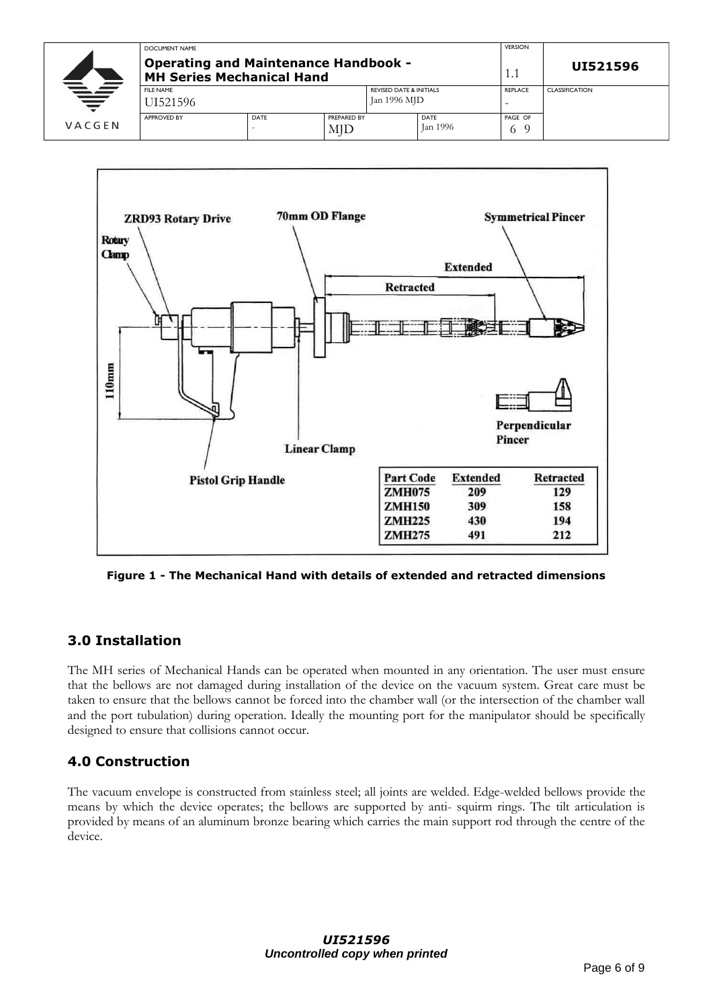|        | DOCUMENT NAME                                                                   | <b>VERSION</b>             |              |                                    |                  |                       |                       |
|--------|---------------------------------------------------------------------------------|----------------------------|--------------|------------------------------------|------------------|-----------------------|-----------------------|
|        | <b>Operating and Maintenance Handbook -</b><br><b>MH Series Mechanical Hand</b> | 1.1                        | UI521596     |                                    |                  |                       |                       |
|        | <b>FILE NAME</b>                                                                |                            |              | <b>REVISED DATE &amp; INITIALS</b> |                  | <b>REPLACE</b>        | <b>CLASSIFICATION</b> |
| ₩      | UI521596-                                                                       |                            | Jan 1996 MJD |                                    |                  |                       |                       |
| VACGEN | <b>APPROVED BY</b>                                                              | DATE<br>PREPARED BY<br>MID |              |                                    | DATE<br>Jan 1996 | PAGE OF<br>$^{\rm o}$ |                       |



**Figure 1 - The Mechanical Hand with details of extended and retracted dimensions**

# **3.0 Installation**

The MH series of Mechanical Hands can be operated when mounted in any orientation. The user must ensure that the bellows are not damaged during installation of the device on the vacuum system. Great care must be taken to ensure that the bellows cannot be forced into the chamber wall (or the intersection of the chamber wall and the port tubulation) during operation. Ideally the mounting port for the manipulator should be specifically designed to ensure that collisions cannot occur.

#### **4.0 Construction**

The vacuum envelope is constructed from stainless steel; all joints are welded. Edge-welded bellows provide the means by which the device operates; the bellows are supported by anti- squirm rings. The tilt articulation is provided by means of an aluminum bronze bearing which carries the main support rod through the centre of the device.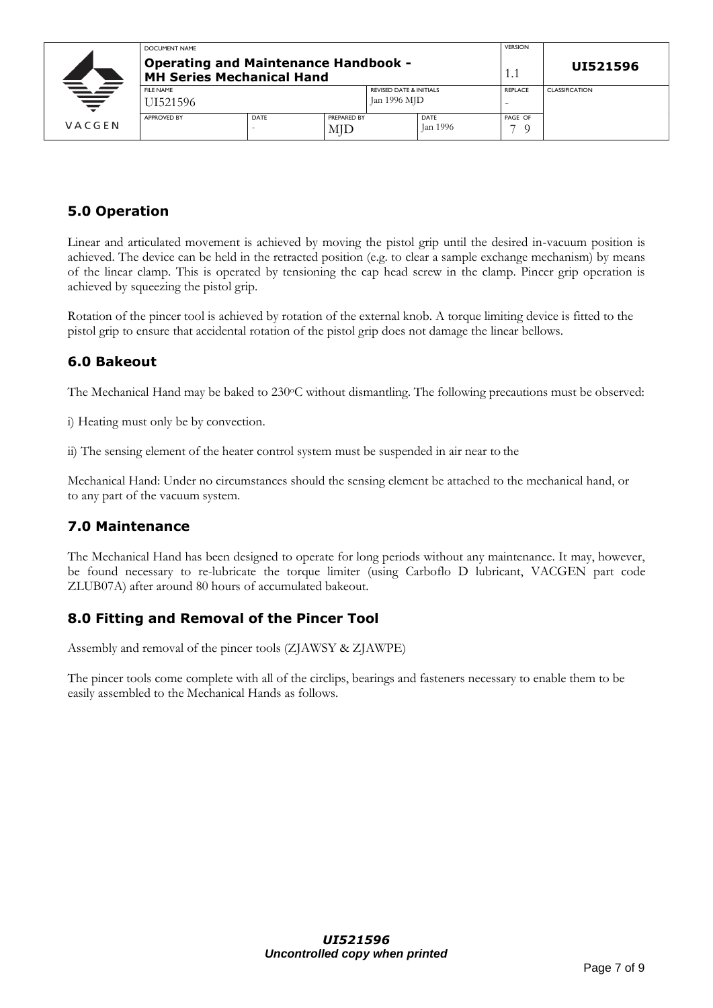|          | DOCUMENT NAME                                                            |      |                                    |  |                | <b>VERSION</b>        |  |
|----------|--------------------------------------------------------------------------|------|------------------------------------|--|----------------|-----------------------|--|
|          | <b>Operating and Maintenance Handbook -</b><br>MH Series Mechanical Hand | 1.1  | UI521596                           |  |                |                       |  |
|          | <b>FILE NAME</b>                                                         |      | <b>REVISED DATE &amp; INITIALS</b> |  | <b>REPLACE</b> | <b>CLASSIFICATION</b> |  |
| $\equiv$ | UI521596                                                                 |      | Jan 1996 MJD                       |  |                |                       |  |
|          | <b>APPROVED BY</b>                                                       | DATE | PREPARED BY                        |  | DATE           | PAGE OF               |  |
| VACGEN   |                                                                          |      | MID                                |  | Jan 1996       | - 0                   |  |

# **5.0 Operation**

Linear and articulated movement is achieved by moving the pistol grip until the desired in-vacuum position is achieved. The device can be held in the retracted position (e.g. to clear a sample exchange mechanism) by means of the linear clamp. This is operated by tensioning the cap head screw in the clamp. Pincer grip operation is achieved by squeezing the pistol grip.

Rotation of the pincer tool is achieved by rotation of the external knob. A torque limiting device is fitted to the pistol grip to ensure that accidental rotation of the pistol grip does not damage the linear bellows.

#### **6.0 Bakeout**

The Mechanical Hand may be baked to 230°C without dismantling. The following precautions must be observed:

i) Heating must only be by convection.

ii) The sensing element of the heater control system must be suspended in air near to the

Mechanical Hand: Under no circumstances should the sensing element be attached to the mechanical hand, or to any part of the vacuum system.

# **7.0 Maintenance**

The Mechanical Hand has been designed to operate for long periods without any maintenance. It may, however, be found necessary to re-lubricate the torque limiter (using Carboflo D lubricant, VACGEN part code ZLUB07A) after around 80 hours of accumulated bakeout.

# **8.0 Fitting and Removal of the Pincer Tool**

Assembly and removal of the pincer tools (ZJAWSY & ZJAWPE)

The pincer tools come complete with all of the circlips, bearings and fasteners necessary to enable them to be easily assembled to the Mechanical Hands as follows.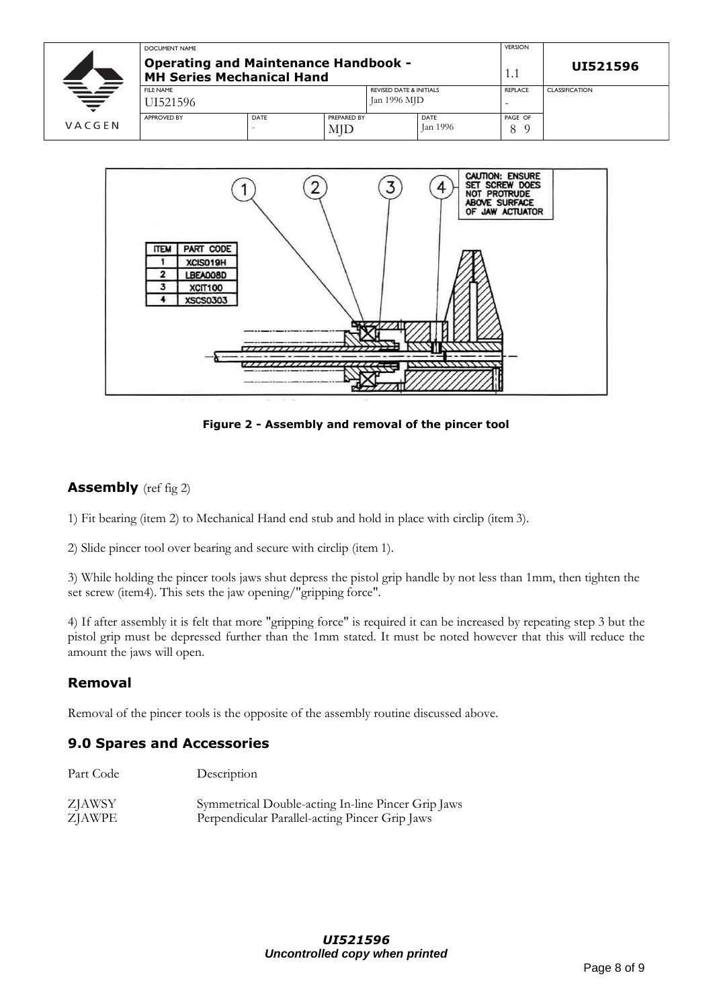|        | DOCUMENT NAME                                                            |      |                           |                                                    |                         | <b>VERSION</b>                             |                       |
|--------|--------------------------------------------------------------------------|------|---------------------------|----------------------------------------------------|-------------------------|--------------------------------------------|-----------------------|
|        | <b>Operating and Maintenance Handbook -</b><br>MH Series Mechanical Hand |      |                           |                                                    |                         |                                            | UI521596              |
| ₩      | <b>FILE NAME</b><br>JI521596                                             |      |                           | <b>REVISED DATE &amp; INITIALS</b><br>Jan 1996 MJD |                         | <b>REPLACE</b><br>$\overline{\phantom{0}}$ | <b>CLASSIFICATION</b> |
| VACGEN | <b>APPROVED BY</b>                                                       | DATE | PREPARED BY<br><b>MJD</b> |                                                    | DATE<br><b>Jan 1996</b> | PAGE OF<br>$\Omega$<br>O                   |                       |



**Figure 2 - Assembly and removal of the pincer tool**

#### **Assembly** (ref fig 2)

1) Fit bearing (item 2) to Mechanical Hand end stub and hold in place with circlip (item 3).

2) Slide pincer tool over bearing and secure with circlip (item 1).

3) While holding the pincer tools jaws shut depress the pistol grip handle by not less than 1mm, then tighten the set screw (item4). This sets the jaw opening/"gripping force".

4) If after assembly it is felt that more "gripping force" is required it can be increased by repeating step 3 but the pistol grip must be depressed further than the 1mm stated. It must be noted however that this will reduce the amount the jaws will open.

# **Removal**

Removal of the pincer tools is the opposite of the assembly routine discussed above.

#### **9.0 Spares and Accessories**

| Part Code     | Description                                        |
|---------------|----------------------------------------------------|
| <b>ZJAWSY</b> | Symmetrical Double-acting In-line Pincer Grip Jaws |
| <b>ZJAWPE</b> | Perpendicular Parallel-acting Pincer Grip Jaws     |